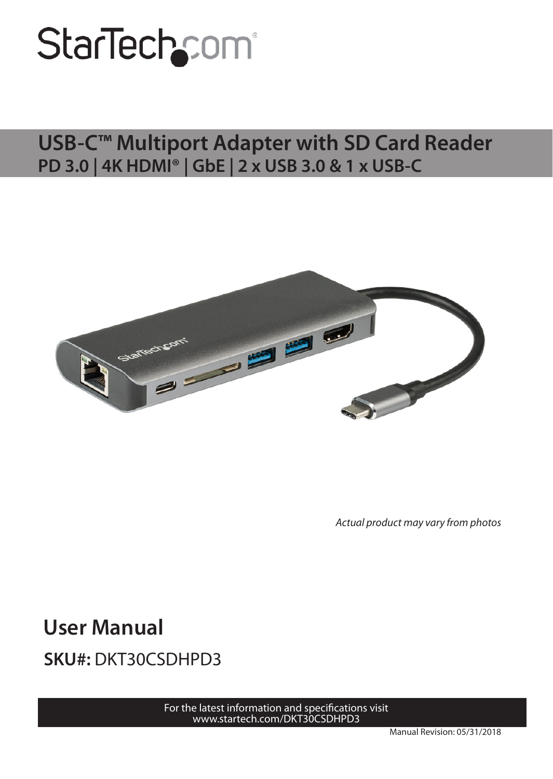# StarTechcom<sup>®</sup>

#### **USB-C™ Multiport Adapter with SD Card Reader PD 3.0 | 4K HDMI® | GbE | 2 x USB 3.0 & 1 x USB-C**



*Actual product may vary from photos*

**User Manual SKU#:** DKT30CSDHPD3

For th[e latest information](http://www.startech.com/DKT30CSDHPD3) and specifications visit [www.startech.com/D](http://www.startech.com/DKT30CSDHPD3)KT30CSDHPD3

Manual Revision: 05/31/2018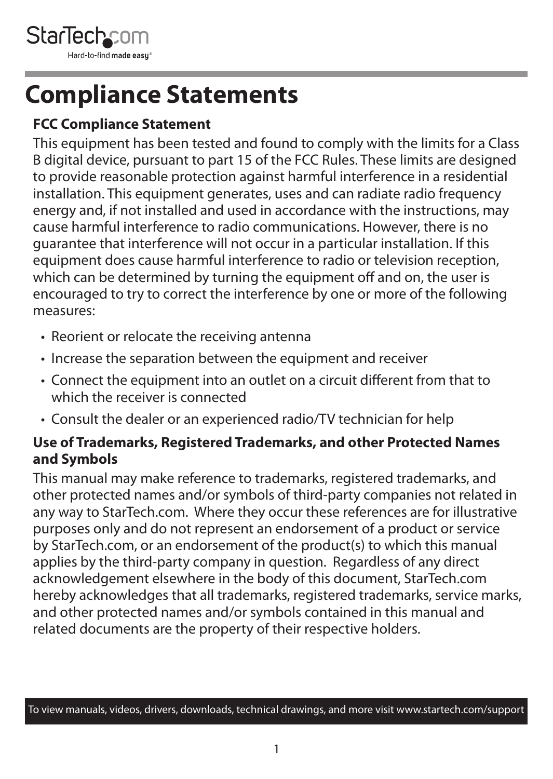<span id="page-1-0"></span>

### **Compliance Statements**

#### **FCC Compliance Statement**

This equipment has been tested and found to comply with the limits for a Class B digital device, pursuant to part 15 of the FCC Rules. These limits are designed to provide reasonable protection against harmful interference in a residential installation. This equipment generates, uses and can radiate radio frequency energy and, if not installed and used in accordance with the instructions, may cause harmful interference to radio communications. However, there is no guarantee that interference will not occur in a particular installation. If this equipment does cause harmful interference to radio or television reception, which can be determined by turning the equipment off and on, the user is encouraged to try to correct the interference by one or more of the following measures:

- Reorient or relocate the receiving antenna
- Increase the separation between the equipment and receiver
- Connect the equipment into an outlet on a circuit different from that to which the receiver is connected
- Consult the dealer or an experienced radio/TV technician for help

#### **Use of Trademarks, Registered Trademarks, and other Protected Names and Symbols**

This manual may make reference to trademarks, registered trademarks, and other protected names and/or symbols of third-party companies not related in any way to StarTech.com. Where they occur these references are for illustrative purposes only and do not represent an endorsement of a product or service by StarTech.com, or an endorsement of the product(s) to which this manual applies by the third-party company in question. Regardless of any direct acknowledgement elsewhere in the body of this document, StarTech.com hereby acknowledges that all trademarks, registered trademarks, service marks, and other protected names and/or symbols contained in this manual and related documents are the property of their respective holders.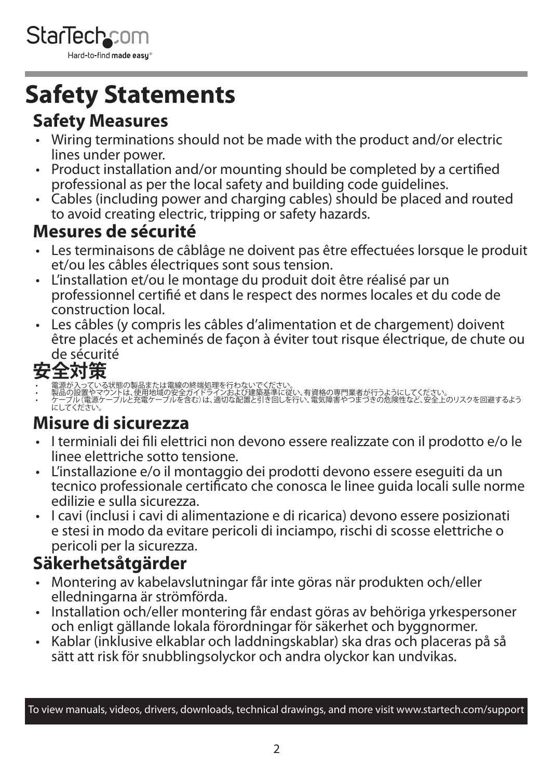<span id="page-2-0"></span>

### **Safety Statements**

#### **Safety Measures**

- Wiring terminations should not be made with the product and/or electric lines under power.
- Product installation and/or mounting should be completed by a certified professional as per the local safety and building code guidelines.
- Cables (including power and charging cables) should be placed and routed to avoid creating electric, tripping or safety hazards.

#### **Mesures de sécurité**

- Les terminaisons de câblâge ne doivent pas être effectuées lorsque le produit et/ou les câbles électriques sont sous tension.
- L'installation et/ou le montage du produit doit être réalisé par un professionnel certifié et dans le respect des normes locales et du code de construction local.
- Les câbles (y compris les câbles d'alimentation et de chargement) doivent être placés et acheminés de façon à éviter tout risque électrique, de chute ou

# de sécurité<br>**安全対策**

- 一<br>電源が入っている状態の製品または電線の終端処理を行わないでください。<br>製品の設置やマウントは、使用地域の安全ガイドラインおよび建築基準に従い、有資格の専門業者が行う<u>ようにしてく</u>ださい
- 製品の設置やマウントは、使用地域の安全ガイドラインおよび建築基準に従い、有資格の専門業者が行うようにしてください。<br>• ケーブル(電源ケーブルと充電ケーブルを含む)は、適切な配置と引き回しを行い、電気障害やつまづきの危険性など、安全上のリスクを回避するよう<br>- にしてください。

#### **Misure di sicurezza**

- I terminiali dei fili elettrici non devono essere realizzate con il prodotto e/o le linee elettriche sotto tensione.
- L'installazione e/o il montaggio dei prodotti devono essere eseguiti da un tecnico professionale certificato che conosca le linee guida locali sulle norme edilizie e sulla sicurezza.
- I cavi (inclusi i cavi di alimentazione e di ricarica) devono essere posizionati e stesi in modo da evitare pericoli di inciampo, rischi di scosse elettriche o pericoli per la sicurezza.

#### **Säkerhetsåtgärder**

- Montering av kabelavslutningar får inte göras när produkten och/eller elledningarna är strömförda.
- Installation och/eller montering får endast göras av behöriga yrkespersoner och enligt gällande lokala förordningar för säkerhet och byggnormer.
- Kablar (inklusive elkablar och laddningskablar) ska dras och placeras på så sätt att risk för snubblingsolyckor och andra olyckor kan undvikas.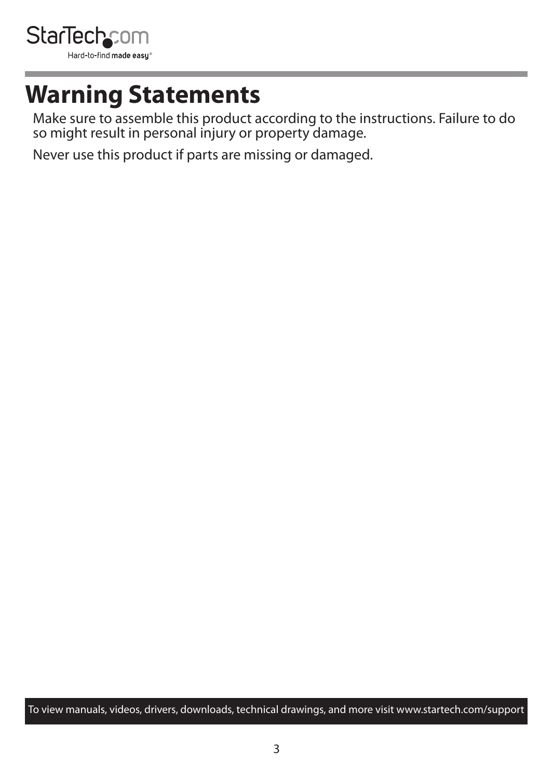<span id="page-3-0"></span>

### **Warning Statements**

Make sure to assemble this product according to the instructions. Failure to do so might result in personal injury or property damage.

Never use this product if parts are missing or damaged.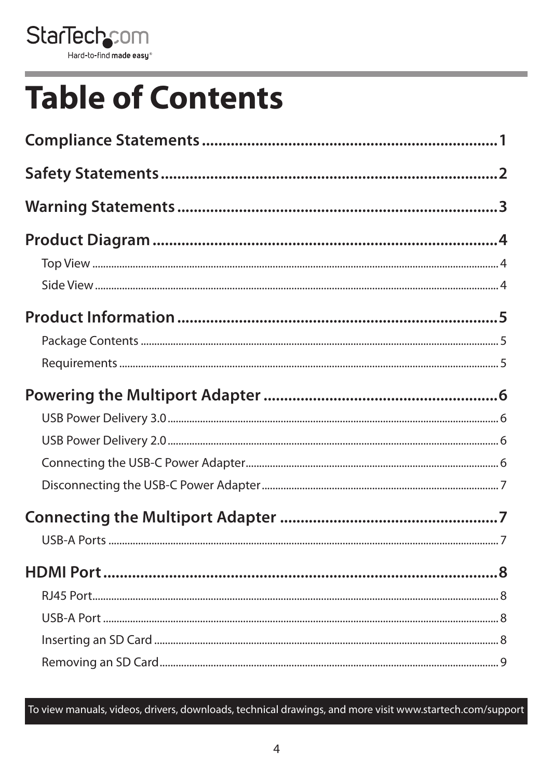

# **Table of Contents**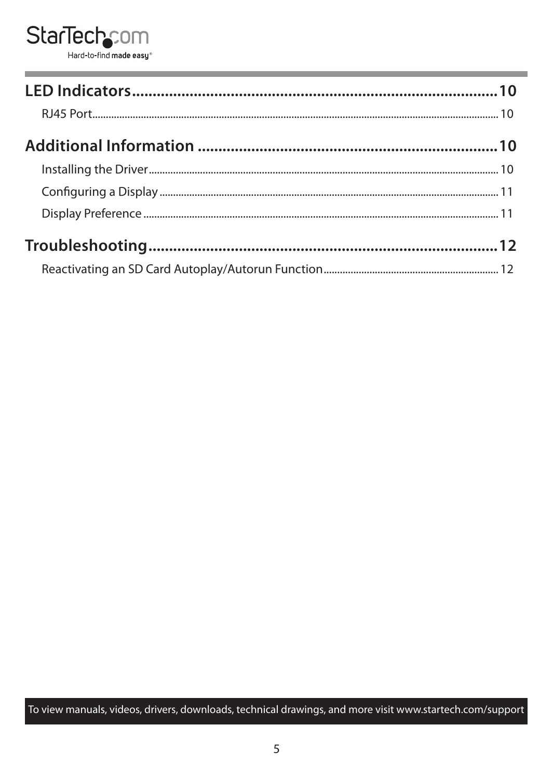#### **StarTechcom** Hard-to-find made easy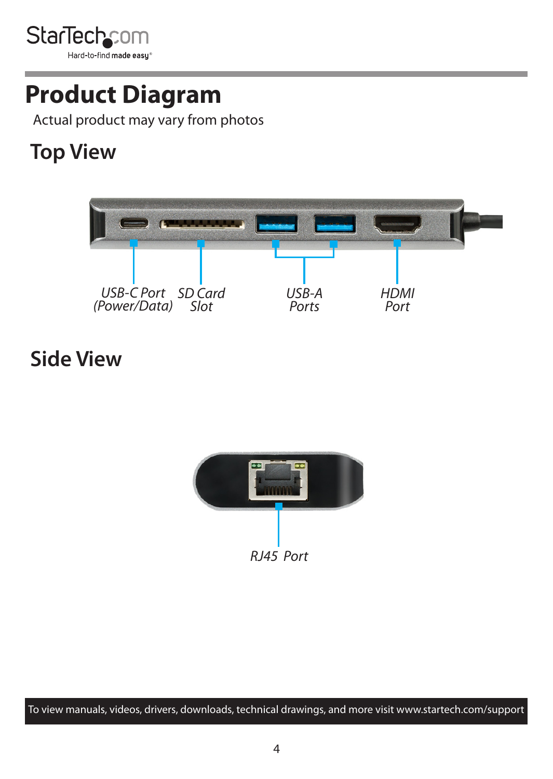<span id="page-6-0"></span>

### **Product Diagram**

Actual product may vary from photos

### **Top View**



#### **Side View**

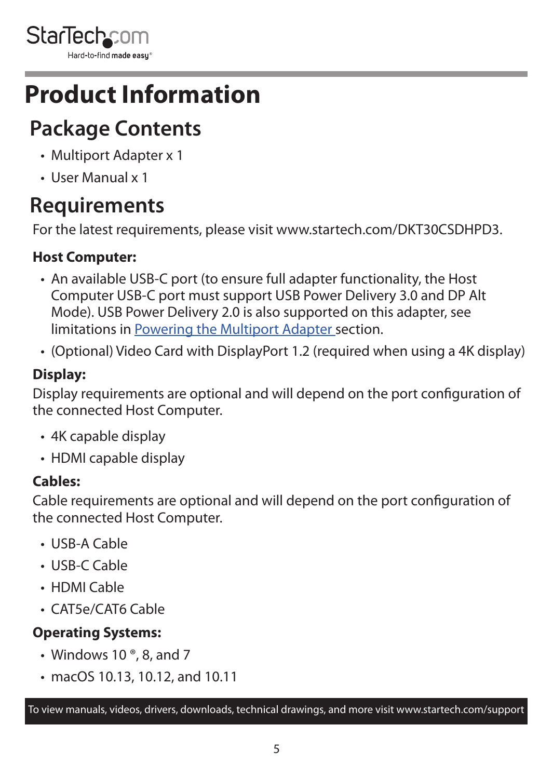<span id="page-7-0"></span>

### **Product Information**

### **Package Contents**

- Multiport Adapter x 1
- User Manual x 1

### **Requirements**

For the latest requirements, please visit [www.startech.com/](http://www.startech.com/DKT30CSDHPD3)DKT30CSDHPD3.

#### **Host Computer:**

- An available USB-C port (to ensure full adapter functionality, the Host Computer USB-C port must support USB Power Delivery 3.0 and DP Alt Mode). USB Power Delivery 2.0 is also supported on this adapter, see limitations in [Powering the Multiport Adapter](#page-8-1) section.
- (Optional) Video Card with DisplayPort 1.2 (required when using a 4K display)

#### **Display:**

Display requirements are optional and will depend on the port configuration of the connected Host Computer.

- 4K capable display
- HDMI capable display

#### **Cables:**

Cable requirements are optional and will depend on the port configuration of the connected Host Computer.

- USB-A Cable
- USB-C Cable
- HDMI Cable
- CAT5e/CAT6 Cable

#### **Operating Systems:**

- Windows 10 $^{\circ}$ , 8, and 7
- macOS 10.13, 10.12, and 10.11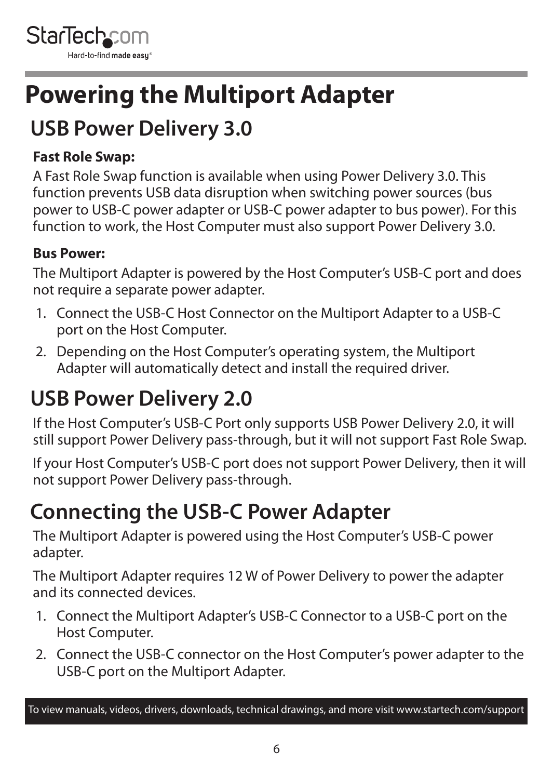<span id="page-8-0"></span>

### <span id="page-8-1"></span>**Powering the Multiport Adapter**

### **USB Power Delivery 3.0**

#### **Fast Role Swap:**

A Fast Role Swap function is available when using Power Delivery 3.0. This function prevents USB data disruption when switching power sources (bus power to USB-C power adapter or USB-C power adapter to bus power). For this function to work, the Host Computer must also support Power Delivery 3.0.

#### **Bus Power:**

The Multiport Adapter is powered by the Host Computer's USB-C port and does not require a separate power adapter.

- 1. Connect the USB-C Host Connector on the Multiport Adapter to a USB-C port on the Host Computer.
- 2. Depending on the Host Computer's operating system, the Multiport Adapter will automatically detect and install the required driver.

### **USB Power Delivery 2.0**

If the Host Computer's USB-C Port only supports USB Power Delivery 2.0, it will still support Power Delivery pass-through, but it will not support Fast Role Swap.

If your Host Computer's USB-C port does not support Power Delivery, then it will not support Power Delivery pass-through.

### **Connecting the USB-C Power Adapter**

The Multiport Adapter is powered using the Host Computer's USB-C power adapter.

The Multiport Adapter requires 12 W of Power Delivery to power the adapter and its connected devices.

- 1. Connect the Multiport Adapter's USB-C Connector to a USB-C port on the Host Computer.
- 2. Connect the USB-C connector on the Host Computer's power adapter to the USB-C port on the Multiport Adapter.

To view manuals, videos, drivers, downloads, technical drawings, and more visit www.startech.com/support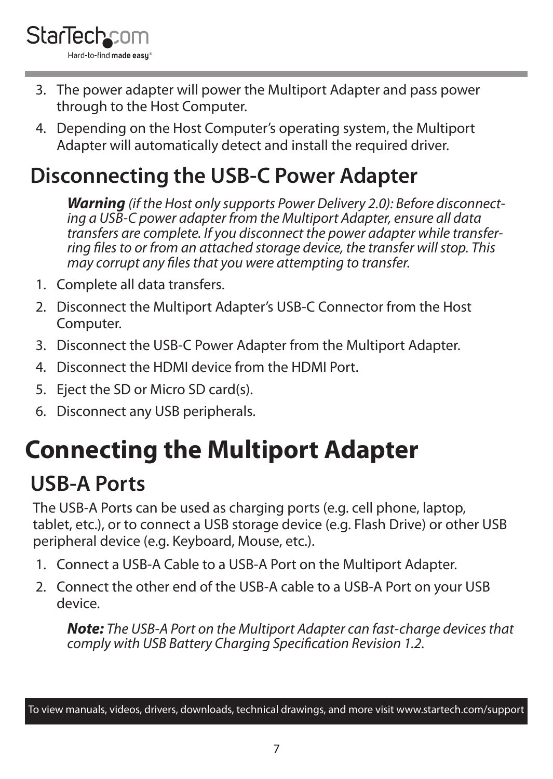<span id="page-9-0"></span>

- 3. The power adapter will power the Multiport Adapter and pass power through to the Host Computer.
- 4. Depending on the Host Computer's operating system, the Multiport Adapter will automatically detect and install the required driver.

#### **Disconnecting the USB-C Power Adapter**

*Warning (if the Host only supports Power Delivery 2.0): Before disconnecting a USB-C power adapter from the Multiport Adapter, ensure all data transfers are complete. If you disconnect the power adapter while transferring files to or from an attached storage device, the transfer will stop. This may corrupt any files that you were attempting to transfer.*

- 1. Complete all data transfers.
- 2. Disconnect the Multiport Adapter's USB-C Connector from the Host Computer.
- 3. Disconnect the USB-C Power Adapter from the Multiport Adapter.
- 4. Disconnect the HDMI device from the HDMI Port.
- 5. Eject the SD or Micro SD card(s).
- 6. Disconnect any USB peripherals.

### <span id="page-9-1"></span>**Connecting the Multiport Adapter**

### **USB-A Ports**

The USB-A Ports can be used as charging ports (e.g. cell phone, laptop, tablet, etc.), or to connect a USB storage device (e.g. Flash Drive) or other USB peripheral device (e.g. Keyboard, Mouse, etc.).

- 1. Connect a USB-A Cable to a USB-A Port on the Multiport Adapter.
- 2. Connect the other end of the USB-A cable to a USB-A Port on your USB device.

*Note: The USB-A Port on the Multiport Adapter can fast-charge devices that comply with USB Battery Charging Specification Revision 1.2.*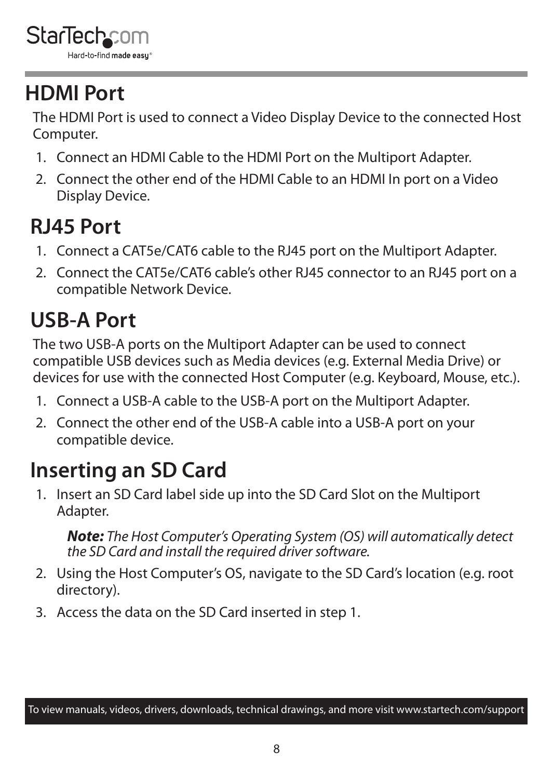### <span id="page-10-0"></span>**HDMI Port**

The HDMI Port is used to connect a Video Display Device to the connected Host Computer.

- 1. Connect an HDMI Cable to the HDMI Port on the Multiport Adapter.
- 2. Connect the other end of the HDMI Cable to an HDMI In port on a Video Display Device.

### **RJ45 Port**

- 1. Connect a CAT5e/CAT6 cable to the RJ45 port on the Multiport Adapter.
- 2. Connect the CAT5e/CAT6 cable's other RJ45 connector to an RJ45 port on a compatible Network Device.

### **USB-A Port**

The two USB-A ports on the Multiport Adapter can be used to connect compatible USB devices such as Media devices (e.g. External Media Drive) or devices for use with the connected Host Computer (e.g. Keyboard, Mouse, etc.).

- 1. Connect a USB-A cable to the USB-A port on the Multiport Adapter.
- 2. Connect the other end of the USB-A cable into a USB-A port on your compatible device.

### **Inserting an SD Card**

1. Insert an SD Card label side up into the SD Card Slot on the Multiport Adapter.

*Note: The Host Computer's Operating System (OS) will automatically detect the SD Card and install the required driver software.*

- 2. Using the Host Computer's OS, navigate to the SD Card's location (e.g. root directory).
- 3. Access the data on the SD Card inserted in step 1.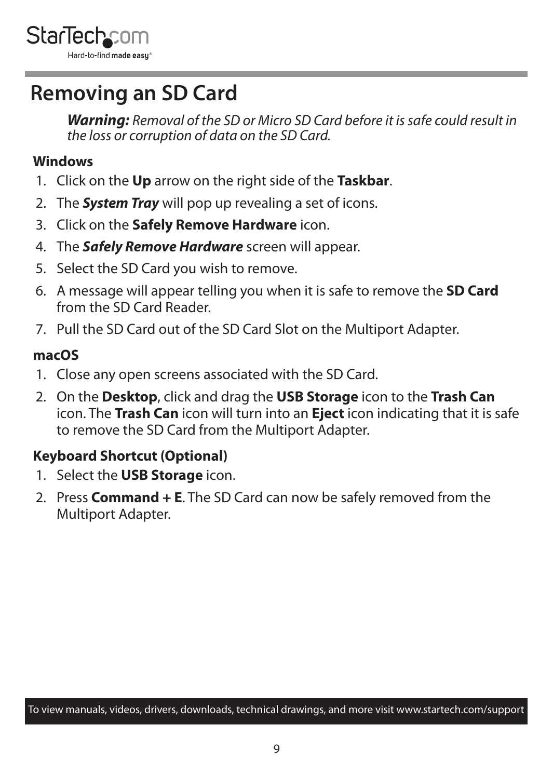<span id="page-11-0"></span>

#### **Removing an SD Card**

*Warning: Removal of the SD or Micro SD Card before it is safe could result in the loss or corruption of data on the SD Card.*

#### **Windows**

- 1. Click on the **Up** arrow on the right side of the **Taskbar**.
- 2. The *System Tray* will pop up revealing a set of icons.
- 3. Click on the **Safely Remove Hardware** icon.
- 4. The *Safely Remove Hardware* screen will appear.
- 5. Select the SD Card you wish to remove.
- 6. A message will appear telling you when it is safe to remove the **SD Card** from the SD Card Reader.
- 7. Pull the SD Card out of the SD Card Slot on the Multiport Adapter.

#### **macOS**

- 1. Close any open screens associated with the SD Card.
- 2. On the **Desktop**, click and drag the **USB Storage** icon to the **Trash Can** icon. The **Trash Can** icon will turn into an **Eject** icon indicating that it is safe to remove the SD Card from the Multiport Adapter.

#### **Keyboard Shortcut (Optional)**

- 1. Select the **USB Storage** icon.
- 2. Press **Command + E**. The SD Card can now be safely removed from the Multiport Adapter.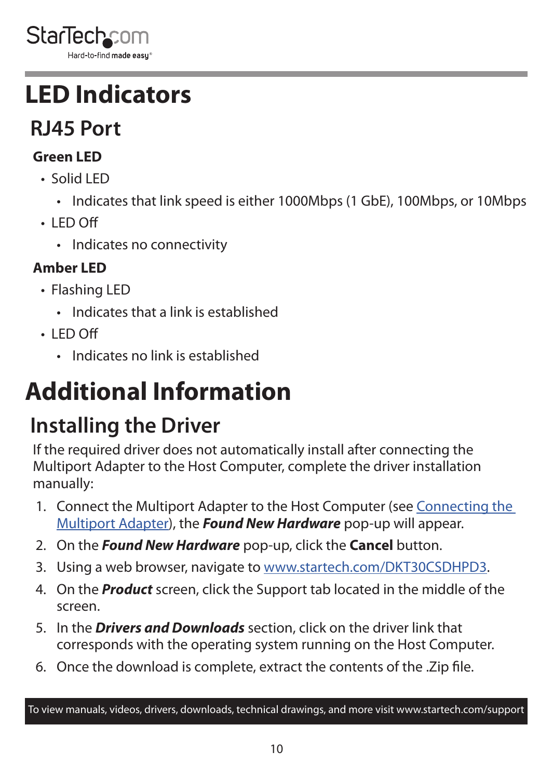<span id="page-12-0"></span>

### **LED Indicators**

### **RJ45 Port**

#### **Green LED**

- Solid LED
	- Indicates that link speed is either 1000Mbps (1 GbE), 100Mbps, or 10Mbps
- $\cdot$  LED Off
	- Indicates no connectivity

#### **Amber LED**

- Flashing LED
	- Indicates that a link is established
- $\cdot$  LED Off
	- Indicates no link is established

# **Additional Information**

### **Installing the Driver**

If the required driver does not automatically install after connecting the Multiport Adapter to the Host Computer, complete the driver installation manually:

- 1. Connect the Multiport Adapter to the Host Computer (see [Connecting the](#page-9-1)  [Multiport Adapter\)](#page-9-1), the *Found New Hardware* pop-up will appear.
- 2. On the *Found New Hardware* pop-up, click the **Cancel** button.
- 3. Using a web browser, navigate to [www.startech.com/DKT30CSDHPD3](http://www.startech.com/DKT30CSDHPD3).
- 4. On the *Product* screen, click the Support tab located in the middle of the screen.
- 5. In the *Drivers and Downloads* section, click on the driver link that corresponds with the operating system running on the Host Computer.
- 6. Once the download is complete, extract the contents of the .Zip file.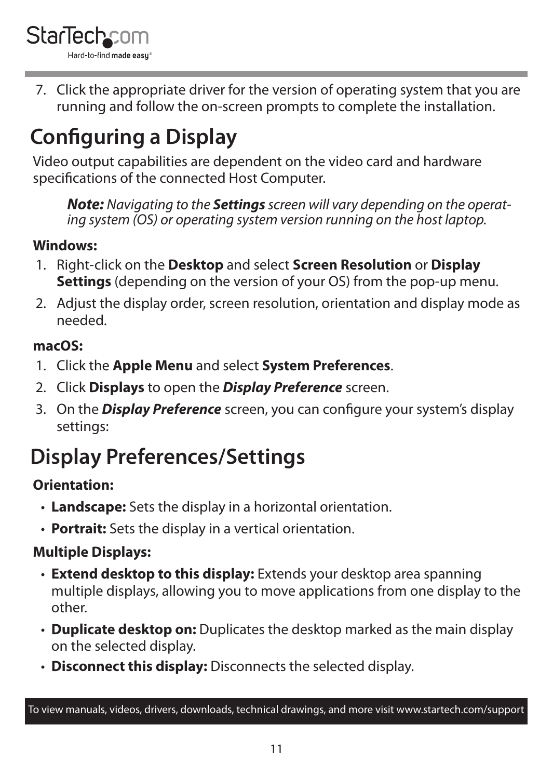<span id="page-13-0"></span>

7. Click the appropriate driver for the version of operating system that you are running and follow the on-screen prompts to complete the installation.

### **Configuring a Display**

Video output capabilities are dependent on the video card and hardware specifications of the connected Host Computer.

*Note: Navigating to the Settings screen will vary depending on the operating system (OS) or operating system version running on the host laptop.*

#### **Windows:**

- 1. Right-click on the **Desktop** and select **Screen Resolution** or **Display Settings** (depending on the version of your OS) from the pop-up menu.
- 2. Adjust the display order, screen resolution, orientation and display mode as needed.

#### **macOS:**

- 1. Click the **Apple Menu** and select **System Preferences**.
- 2. Click **Displays** to open the *Display Preference* screen.
- 3. On the *Display Preference* screen, you can configure your system's display settings:

### **Display Preferences/Settings**

#### **Orientation:**

- **Landscape:** Sets the display in a horizontal orientation.
- **Portrait:** Sets the display in a vertical orientation.

#### **Multiple Displays:**

- **Extend desktop to this display:** Extends your desktop area spanning multiple displays, allowing you to move applications from one display to the other.
- **Duplicate desktop on:** Duplicates the desktop marked as the main display on the selected display.
- **Disconnect this display:** Disconnects the selected display.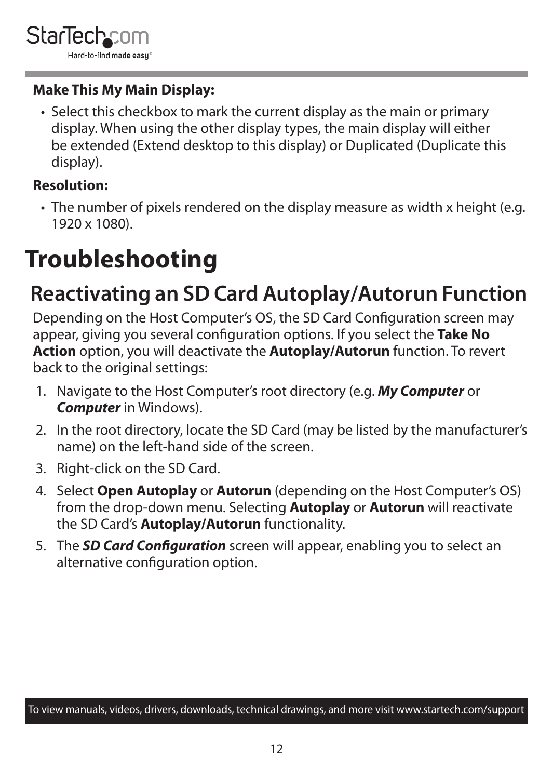#### <span id="page-14-0"></span>**Make This My Main Display:**

• Select this checkbox to mark the current display as the main or primary display. When using the other display types, the main display will either be extended (Extend desktop to this display) or Duplicated (Duplicate this display).

#### **Resolution:**

• The number of pixels rendered on the display measure as width x height (e.g. 1920 x 1080).

## **Troubleshooting**

### **Reactivating an SD Card Autoplay/Autorun Function**

Depending on the Host Computer's OS, the SD Card Configuration screen may appear, giving you several configuration options. If you select the **Take No Action** option, you will deactivate the **Autoplay/Autorun** function. To revert back to the original settings:

- 1. Navigate to the Host Computer's root directory (e.g. *My Computer* or *Computer* in Windows).
- 2. In the root directory, locate the SD Card (may be listed by the manufacturer's name) on the left-hand side of the screen.
- 3. Right-click on the SD Card.
- 4. Select **Open Autoplay** or **Autorun** (depending on the Host Computer's OS) from the drop-down menu. Selecting **Autoplay** or **Autorun** will reactivate the SD Card's **Autoplay/Autorun** functionality.
- 5. The *SD Card Configuration* screen will appear, enabling you to select an alternative configuration option.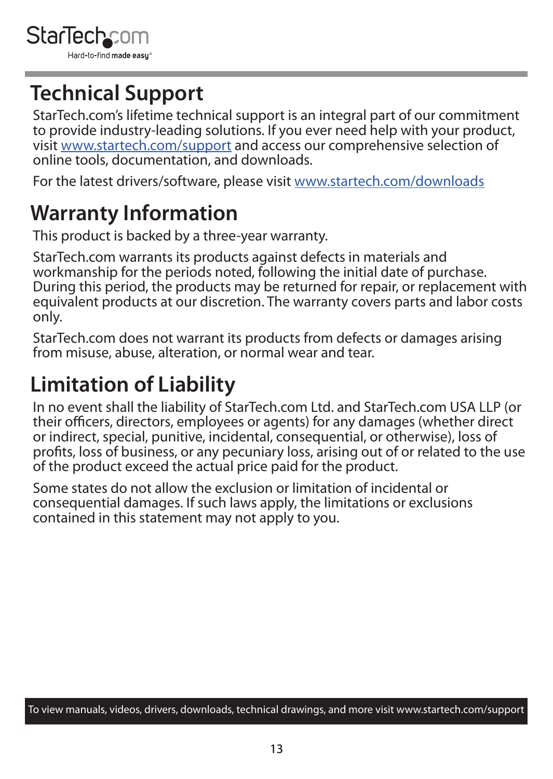

### **Technical Support**

StarTech.com's lifetime technical support is an integral part of our commitment to provide industry-leading solutions. If you ever need help with your product, visit [www.startech.com/support](http://www.startech.com/support) and access our comprehensive selection of online tools, documentation, and downloads.

For the latest drivers/software, please visit [www.startech.com/downloads](http://www.startech.com/downloads)

#### **Warranty Information**

This product is backed by a three-year warranty.

StarTech.com warrants its products against defects in materials and workmanship for the periods noted, following the initial date of purchase. During this period, the products may be returned for repair, or replacement with equivalent products at our discretion. The warranty covers parts and labor costs only.

StarTech.com does not warrant its products from defects or damages arising from misuse, abuse, alteration, or normal wear and tear.

### **Limitation of Liability**

In no event shall the liability of StarTech.com Ltd. and StarTech.com USA LLP (or their officers, directors, employees or agents) for any damages (whether direct or indirect, special, punitive, incidental, consequential, or otherwise), loss of profits, loss of business, or any pecuniary loss, arising out of or related to the use of the product exceed the actual price paid for the product.

Some states do not allow the exclusion or limitation of incidental or consequential damages. If such laws apply, the limitations or exclusions contained in this statement may not apply to you.